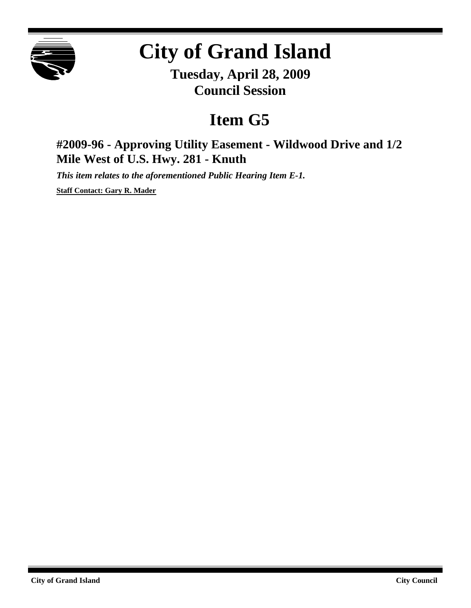

## **City of Grand Island**

**Tuesday, April 28, 2009 Council Session**

## **Item G5**

**#2009-96 - Approving Utility Easement - Wildwood Drive and 1/2 Mile West of U.S. Hwy. 281 - Knuth**

*This item relates to the aforementioned Public Hearing Item E-1.*

**Staff Contact: Gary R. Mader**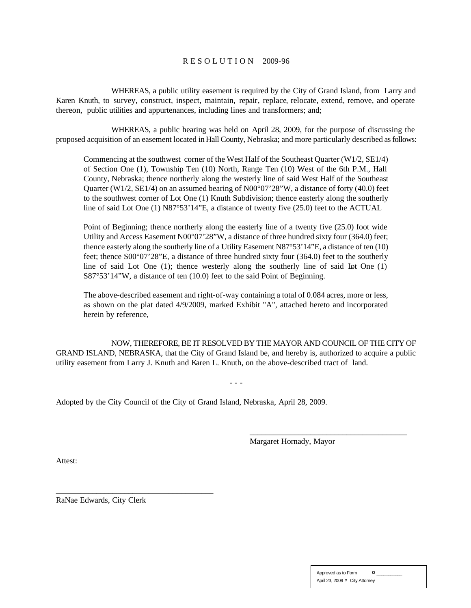## R E S O L U T I O N 2009-96

WHEREAS, a public utility easement is required by the City of Grand Island, from Larry and Karen Knuth, to survey, construct, inspect, maintain, repair, replace, relocate, extend, remove, and operate thereon, public utilities and appurtenances, including lines and transformers; and;

WHEREAS, a public hearing was held on April 28, 2009, for the purpose of discussing the proposed acquisition of an easement located in Hall County, Nebraska; and more particularly described as follows:

Commencing at the southwest corner of the West Half of the Southeast Quarter (W1/2, SE1/4) of Section One (1), Township Ten (10) North, Range Ten (10) West of the 6th P.M., Hall County, Nebraska; thence northerly along the westerly line of said West Half of the Southeast Quarter (W1/2, SE1/4) on an assumed bearing of  $N00^{\circ}07'28''W$ , a distance of forty (40.0) feet to the southwest corner of Lot One (1) Knuth Subdivision; thence easterly along the southerly line of said Lot One (1) N87°53'14"E, a distance of twenty five (25.0) feet to the ACTUAL

Point of Beginning; thence northerly along the easterly line of a twenty five (25.0) foot wide Utility and Access Easement N00°07'28"W, a distance of three hundred sixty four (364.0) feet; thence easterly along the southerly line of a Utility Easement N87°53'14"E, a distance of ten (10) feet; thence S00°07'28"E, a distance of three hundred sixty four (364.0) feet to the southerly line of said Lot One (1); thence westerly along the southerly line of said Lot One (1) S87°53'14"W, a distance of ten (10.0) feet to the said Point of Beginning.

The above-described easement and right-of-way containing a total of 0.084 acres, more or less, as shown on the plat dated 4/9/2009, marked Exhibit "A", attached hereto and incorporated herein by reference,

NOW, THEREFORE, BE IT RESOLVED BY THE MAYOR AND COUNCIL OF THE CITY OF GRAND ISLAND, NEBRASKA, that the City of Grand Island be, and hereby is, authorized to acquire a public utility easement from Larry J. Knuth and Karen L. Knuth, on the above-described tract of land.

- - -

Adopted by the City Council of the City of Grand Island, Nebraska, April 28, 2009.

Margaret Hornady, Mayor

\_\_\_\_\_\_\_\_\_\_\_\_\_\_\_\_\_\_\_\_\_\_\_\_\_\_\_\_\_\_\_\_\_\_\_\_\_\_\_

Attest:

RaNae Edwards, City Clerk

\_\_\_\_\_\_\_\_\_\_\_\_\_\_\_\_\_\_\_\_\_\_\_\_\_\_\_\_\_\_\_\_\_\_\_\_\_\_\_

| Approved as to Form            | ¤ |
|--------------------------------|---|
| April 23, 2009 ¤ City Attorney |   |